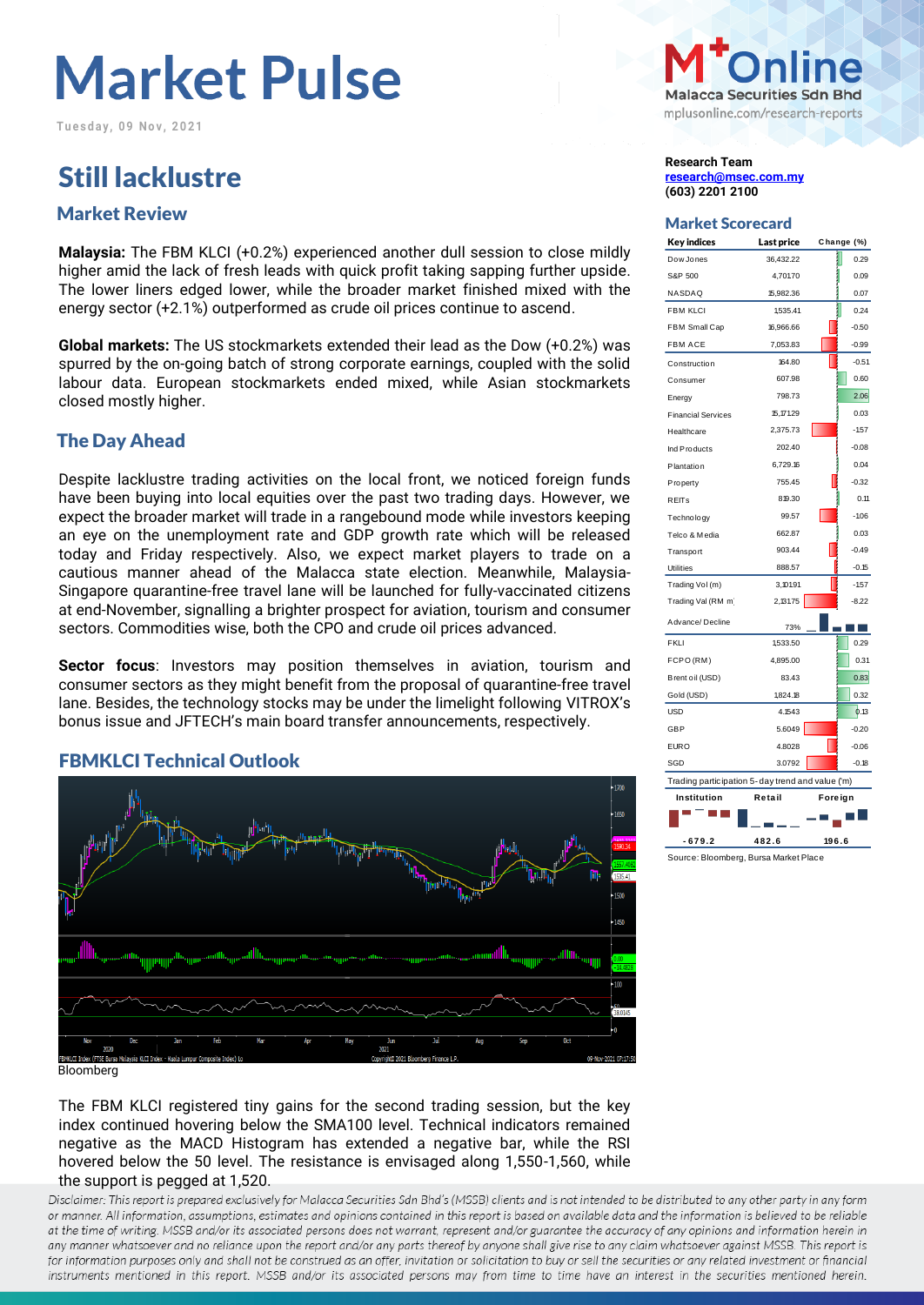**Tu e s d a y , 0 9 N o v , 2 0 2 1**

## Still lacklustre **Research Team**

## Market Scorecard Market Review

**Malaysia:** The FBM KLCI (+0.2%) experienced another dull session to close mildly higher amid the lack of fresh leads with quick profit taking sapping further upside. The lower liners edged lower, while the broader market finished mixed with the energy sector (+2.1%) outperformed as crude oil prices continue to ascend.

**Global markets:** The US stockmarkets extended their lead as the Dow (+0.2%) was spurred by the on-going batch of strong corporate earnings, coupled with the solid labour data. European stockmarkets ended mixed, while Asian stockmarkets closed mostly higher.

#### The Day Ahead

Despite lacklustre trading activities on the local front, we noticed foreign funds have been buying into local equities over the past two trading days. However, we expect the broader market will trade in a rangebound mode while investors keeping an eye on the unemployment rate and GDP growth rate which will be released today and Friday respectively. Also, we expect market players to trade on a cautious manner ahead of the Malacca state election. Meanwhile, Malaysia-Singapore quarantine-free travel lane will be launched for fully-vaccinated citizens at end-November, signalling a brighter prospect for aviation, tourism and consumer sectors. Commodities wise, both the CPO and crude oil prices advanced.

**Sector focus**: Investors may position themselves in aviation, tourism and consumer sectors as they might benefit from the proposal of quarantine-free travel lane. Besides, the technology stocks may be under the limelight following VITROX's bonus issue and JFTECH's main board transfer announcements, respectively.

#### FBMKLCI Technical Outlook



Bloomberg

The FBM KLCI registered tiny gains for the second trading session, but the key index continued hovering below the SMA100 level. Technical indicators remained negative as the MACD Histogram has extended a negative bar, while the RSI hovered below the 50 level. The resistance is envisaged along 1,550-1,560, while the support is pegged at 1,520.

Disclaimer: This report is prepared exclusively for Malacca Securities Sdn Bhd's (MSSB) clients and is not intended to be distributed to any other party in any form or manner. All information, assumptions, estimates and opinions contained in this report is based on available data and the information is believed to be reliable at the time of writing. MSSB and/or its associated persons does not warrant, represent and/or guarantee the accuracy of any opinions and information herein in any manner whatsoever and no reliance upon the report and/or any parts thereof by anyone shall give rise to any claim whatsoever against MSSB. This report is for information purposes only and shall not be construed as an offer, invitation or solicitation to buy or sell the securities or any related investment or financial instruments mentioned in this report. MSSB and/or its associated persons may from time to time have an interest in the securities mentioned herein.



**[research@msec.com.my](mailto:research@msec.com.my) (603) 2201 2100**

| <b>Key indices</b>                               | Last price |         | Change (%) |  |  |  |  |
|--------------------------------------------------|------------|---------|------------|--|--|--|--|
| Dow Jones                                        | 36,432.22  |         | 0.29       |  |  |  |  |
| S&P 500                                          | 4,701.70   |         | 0.09       |  |  |  |  |
| NASDAQ                                           | 15,982.36  |         | 0.07       |  |  |  |  |
| <b>FBM KLCI</b>                                  | 1,535.41   |         | 0.24       |  |  |  |  |
| FBM Small Cap                                    | 16,966.66  |         | $-0.50$    |  |  |  |  |
| <b>FBM ACE</b>                                   | 7,053.83   |         | $-0.99$    |  |  |  |  |
| Construction                                     | 164.80     |         | $-0.51$    |  |  |  |  |
| Consumer                                         | 607.98     |         | 0.60       |  |  |  |  |
| Energy                                           | 798.73     |         | 2.06       |  |  |  |  |
| <b>Financial Services</b>                        | 15, 171.29 |         | 0.03       |  |  |  |  |
| Healthcare                                       | 2,375.73   |         | $-1.57$    |  |  |  |  |
| Ind Products                                     | 202.40     |         | $-0.08$    |  |  |  |  |
| Plantation                                       | 6,729.16   |         | 0.04       |  |  |  |  |
| Property                                         | 755.45     |         | $-0.32$    |  |  |  |  |
| <b>REITs</b>                                     | 819.30     |         | 0.11       |  |  |  |  |
| Technology                                       | 99.57      |         | $-1.06$    |  |  |  |  |
| Telco & Media                                    | 662.87     |         | 0.03       |  |  |  |  |
| Transport                                        | 903.44     |         | $-0.49$    |  |  |  |  |
| <b>Utilities</b>                                 | 888.57     |         | $-0.15$    |  |  |  |  |
| Trading Vol(m)                                   | 3,101.91   |         | $-157$     |  |  |  |  |
| Trading Val (RM m                                | 2,131.75   |         | $-8.22$    |  |  |  |  |
| Advance/Decline                                  | 73%        |         |            |  |  |  |  |
| <b>FKLI</b>                                      | 1,533.50   |         | 0.29       |  |  |  |  |
| FCPO(RM)                                         | 4,895.00   |         | 0.31       |  |  |  |  |
| Brent oil (USD)                                  | 83.43      |         | 0.83       |  |  |  |  |
| Gold (USD)                                       | 1,824.18   |         | 0.32       |  |  |  |  |
| <b>USD</b>                                       | 4.1543     |         | 0.13       |  |  |  |  |
| <b>GBP</b>                                       | 5.6049     |         | $-0.20$    |  |  |  |  |
| <b>EURO</b>                                      | 4.8028     |         | $-0.06$    |  |  |  |  |
| SGD                                              | 3.0792     |         | $-0.18$    |  |  |  |  |
| Trading participation 5-day trend and value ('m) |            |         |            |  |  |  |  |
| Institution                                      | Retail     | Foreign |            |  |  |  |  |
|                                                  |            |         |            |  |  |  |  |

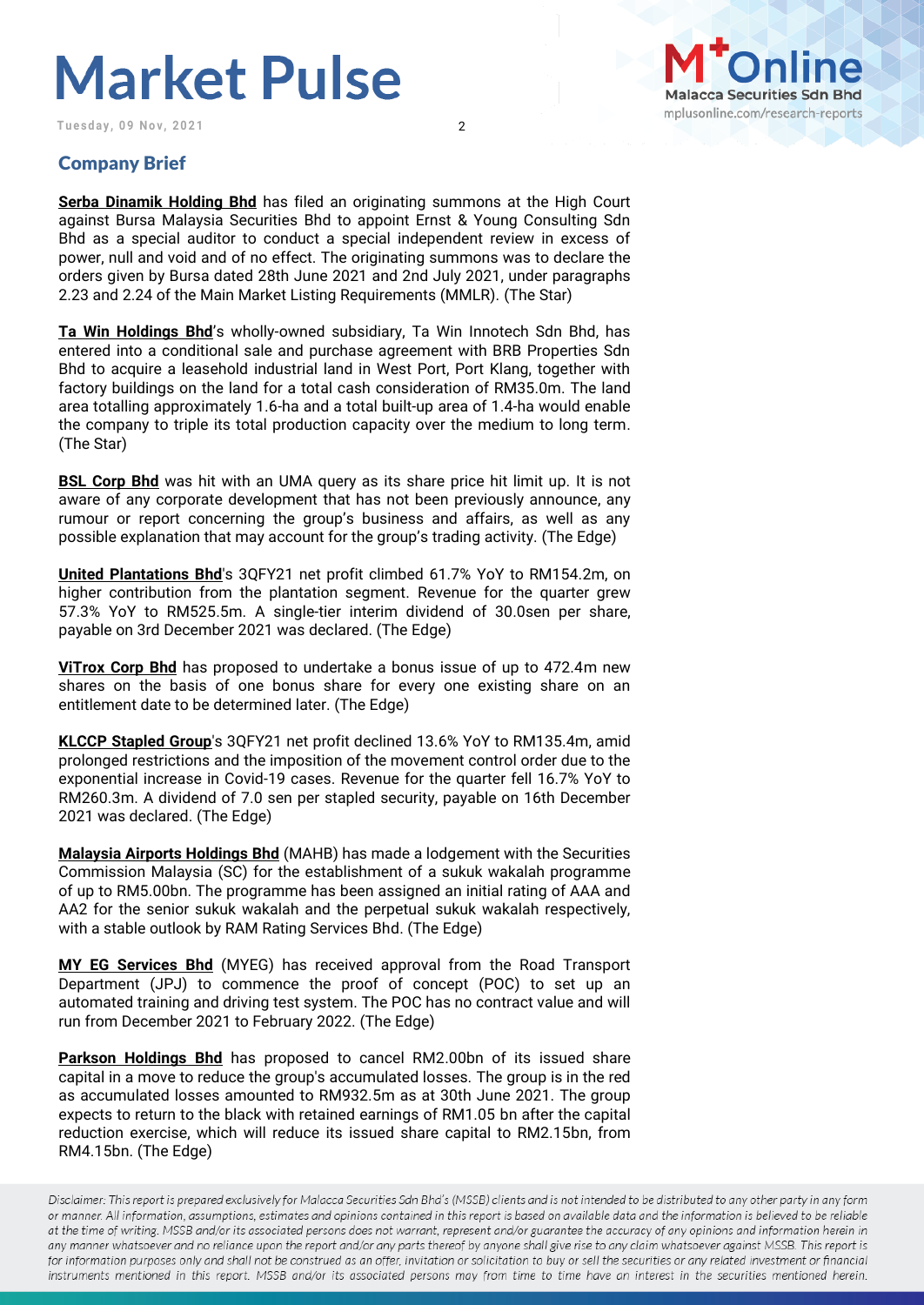Tuesday, 09 Nov, 2021 2



### Company Brief

**Serba Dinamik Holding Bhd** has filed an originating summons at the High Court against Bursa Malaysia Securities Bhd to appoint Ernst & Young Consulting Sdn Bhd as a special auditor to conduct a special independent review in excess of power, null and void and of no effect. The originating summons was to declare the orders given by Bursa dated 28th June 2021 and 2nd July 2021, under paragraphs 2.23 and 2.24 of the Main Market Listing Requirements (MMLR). (The Star)

**Ta Win Holdings Bhd**'s wholly-owned subsidiary, Ta Win Innotech Sdn Bhd, has entered into a conditional sale and purchase agreement with BRB Properties Sdn Bhd to acquire a leasehold industrial land in West Port, Port Klang, together with factory buildings on the land for a total cash consideration of RM35.0m. The land area totalling approximately 1.6-ha and a total built-up area of 1.4-ha would enable the company to triple its total production capacity over the medium to long term. (The Star)

**BSL Corp Bhd** was hit with an UMA query as its share price hit limit up. It is not aware of any corporate development that has not been previously announce, any rumour or report concerning the group's business and affairs, as well as any possible explanation that may account for the group's trading activity. (The Edge)

**United Plantations Bhd**'s 3QFY21 net profit climbed 61.7% YoY to RM154.2m, on higher contribution from the plantation segment. Revenue for the quarter grew 57.3% YoY to RM525.5m. A single-tier interim dividend of 30.0sen per share, payable on 3rd December 2021 was declared. (The Edge)

**ViTrox Corp Bhd** has proposed to undertake a bonus issue of up to 472.4m new shares on the basis of one bonus share for every one existing share on an entitlement date to be determined later. (The Edge)

**KLCCP Stapled Group**'s 3QFY21 net profit declined 13.6% YoY to RM135.4m, amid prolonged restrictions and the imposition of the movement control order due to the exponential increase in Covid-19 cases. Revenue for the quarter fell 16.7% YoY to RM260.3m. A dividend of 7.0 sen per stapled security, payable on 16th December 2021 was declared. (The Edge)

**Malaysia Airports Holdings Bhd** (MAHB) has made a lodgement with the Securities Commission Malaysia (SC) for the establishment of a sukuk wakalah programme of up to RM5.00bn. The programme has been assigned an initial rating of AAA and AA2 for the senior sukuk wakalah and the perpetual sukuk wakalah respectively, with a stable outlook by RAM Rating Services Bhd. (The Edge)

**MY EG Services Bhd** (MYEG) has received approval from the Road Transport Department (JPJ) to commence the proof of concept (POC) to set up an automated training and driving test system. The POC has no contract value and will run from December 2021 to February 2022. (The Edge)

**Parkson Holdings Bhd** has proposed to cancel RM2.00bn of its issued share capital in a move to reduce the group's accumulated losses. The group is in the red as accumulated losses amounted to RM932.5m as at 30th June 2021. The group expects to return to the black with retained earnings of RM1.05 bn after the capital reduction exercise, which will reduce its issued share capital to RM2.15bn, from RM4.15bn. (The Edge)

Disclaimer: This report is prepared exclusively for Malacca Securities Sdn Bhd's (MSSB) clients and is not intended to be distributed to any other party in any form or manner. All information, assumptions, estimates and opinions contained in this report is based on available data and the information is believed to be reliable at the time of writing. MSSB and/or its associated persons does not warrant, represent and/or guarantee the accuracy of any opinions and information herein in any manner whatsoever and no reliance upon the report and/or any parts thereof by anyone shall give rise to any claim whatsoever against MSSB. This report is for information purposes only and shall not be construed as an offer, invitation or solicitation to buy or sell the securities or any related investment or financial instruments mentioned in this report. MSSB and/or its associated persons may from time to time have an interest in the securities mentioned herein.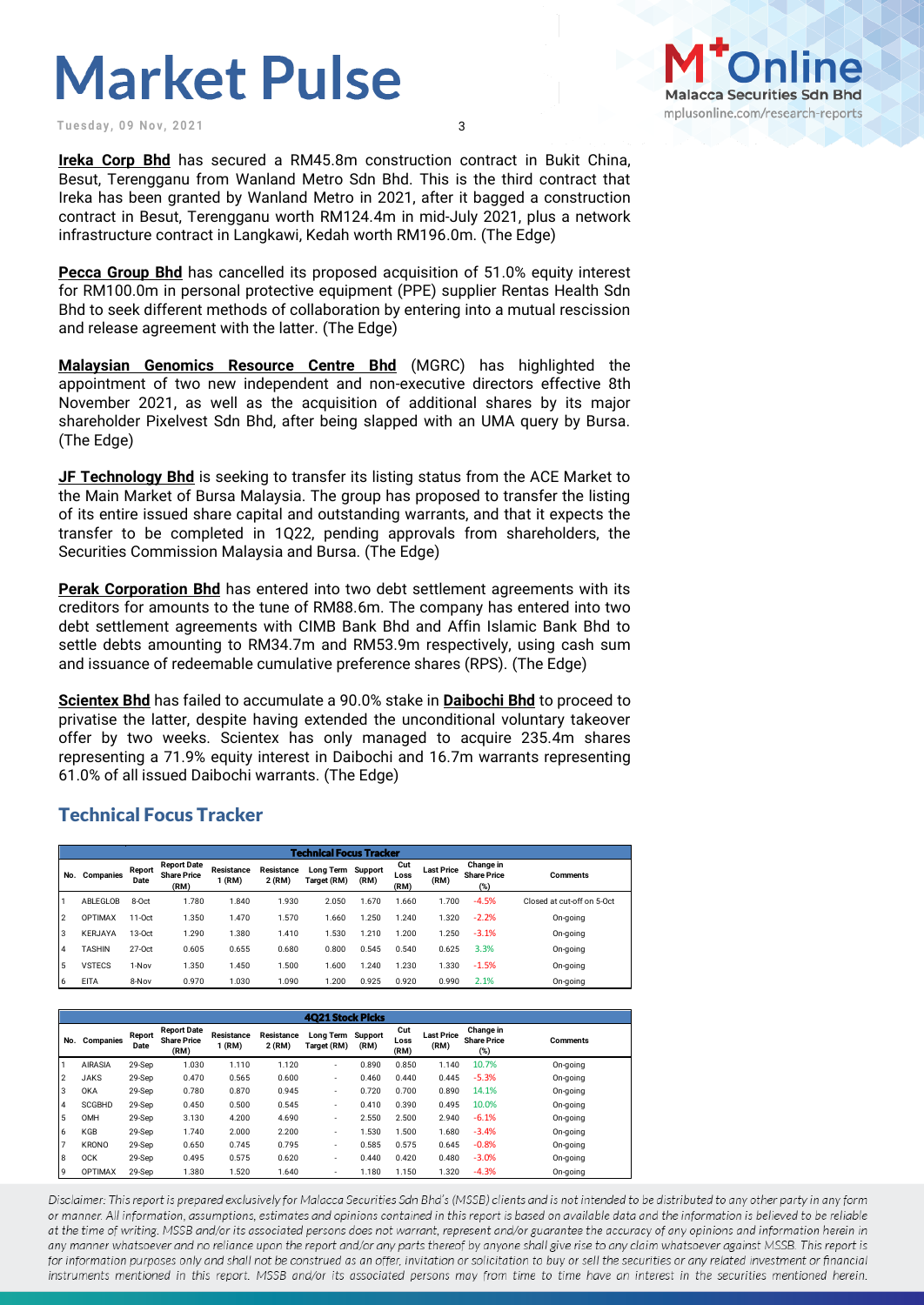**Tuesday, 09 Nov, 2021** 3



**Ireka Corp Bhd** has secured a RM45.8m construction contract in Bukit China, Besut, Terengganu from Wanland Metro Sdn Bhd. This is the third contract that Ireka has been granted by Wanland Metro in 2021, after it bagged a construction contract in Besut, Terengganu worth RM124.4m in mid-July 2021, plus a network infrastructure contract in Langkawi, Kedah worth RM196.0m. (The Edge)

**Pecca Group Bhd** has cancelled its proposed acquisition of 51.0% equity interest for RM100.0m in personal protective equipment (PPE) supplier Rentas Health Sdn Bhd to seek different methods of collaboration by entering into a mutual rescission and release agreement with the latter. (The Edge)

**Malaysian Genomics Resource Centre Bhd** (MGRC) has highlighted the appointment of two new independent and non-executive directors effective 8th November 2021, as well as the acquisition of additional shares by its major shareholder Pixelvest Sdn Bhd, after being slapped with an UMA query by Bursa. (The Edge)

**JF Technology Bhd** is seeking to transfer its listing status from the ACE Market to the Main Market of Bursa Malaysia. The group has proposed to transfer the listing of its entire issued share capital and outstanding warrants, and that it expects the transfer to be completed in 1Q22, pending approvals from shareholders, the Securities Commission Malaysia and Bursa. (The Edge)

**Perak Corporation Bhd** has entered into two debt settlement agreements with its creditors for amounts to the tune of RM88.6m. The company has entered into two debt settlement agreements with CIMB Bank Bhd and Affin Islamic Bank Bhd to settle debts amounting to RM34.7m and RM53.9m respectively, using cash sum and issuance of redeemable cumulative preference shares (RPS). (The Edge)

**Scientex Bhd** has failed to accumulate a 90.0% stake in **Daibochi Bhd** to proceed to privatise the latter, despite having extended the unconditional voluntary takeover offer by two weeks. Scientex has only managed to acquire 235.4m shares representing a 71.9% equity interest in Daibochi and 16.7m warrants representing 61.0% of all issued Daibochi warrants. (The Edge)

#### Technical Focus Tracker

| <b>Technical Focus Tracker</b> |                |                |                                                  |                      |                             |                                  |       |                     |                           |                                        |                            |
|--------------------------------|----------------|----------------|--------------------------------------------------|----------------------|-----------------------------|----------------------------------|-------|---------------------|---------------------------|----------------------------------------|----------------------------|
| No.                            | Companies      | Report<br>Date | <b>Report Date</b><br><b>Share Price</b><br>(RM) | Resistance<br>1 (RM) | <b>Resistance</b><br>2 (RM) | Long Term Support<br>Target (RM) | (RM)  | Cut<br>Loss<br>(RM) | <b>Last Price</b><br>(RM) | Change in<br><b>Share Price</b><br>(%) | <b>Comments</b>            |
|                                | ABLEGLOB       | 8-Oct          | 1.780                                            | 1.840                | 1.930                       | 2.050                            | 1.670 | .660                | 1.700                     | $-4.5%$                                | Closed at cut-off on 5-Oct |
| 12                             | <b>OPTIMAX</b> | $11-0ct$       | 1.350                                            | 1.470                | 1.570                       | 1.660                            | .250  | 1.240               | 1.320                     | $-2.2%$                                | On-going                   |
| lз                             | <b>KERJAYA</b> | $13-0ct$       | 1.290                                            | .380                 | 1.410                       | 1.530                            | 1.210 | 1.200               | 1.250                     | $-3.1%$                                | On-going                   |
| 14                             | <b>TASHIN</b>  | $27-0ct$       | 0.605                                            | 0.655                | 0.680                       | 0.800                            | 0.545 | 0.540               | 0.625                     | 3.3%                                   | On-going                   |
| 5                              | <b>VSTECS</b>  | 1-Nov          | 1.350                                            | .450                 | 1.500                       | 1.600                            | 1.240 | 1.230               | 1.330                     | $-1.5%$                                | On-going                   |
| 6                              | <b>EITA</b>    | 8-Nov          | 0.970                                            | 1.030                | 1.090                       | 1.200                            | 0.925 | 0.920               | 0.990                     | 2.1%                                   | On-going                   |

|     | <b>4021 Stock Picks</b> |                |                                                  |                      |                             |                          |                        |                     |                           |                                        |                 |
|-----|-------------------------|----------------|--------------------------------------------------|----------------------|-----------------------------|--------------------------|------------------------|---------------------|---------------------------|----------------------------------------|-----------------|
| No. | Companies               | Report<br>Date | <b>Report Date</b><br><b>Share Price</b><br>(RM) | Resistance<br>1 (RM) | <b>Resistance</b><br>2 (RM) | Long Term<br>Target (RM) | <b>Support</b><br>(RM) | Cut<br>Loss<br>(RM) | <b>Last Price</b><br>(RM) | Change in<br><b>Share Price</b><br>(%) | <b>Comments</b> |
|     | <b>AIRASIA</b>          | 29-Sep         | 1.030                                            | 1.110                | 1.120                       | $\overline{\phantom{a}}$ | 0.890                  | 0.850               | 1.140                     | 10.7%                                  | On-going        |
| 12  | <b>JAKS</b>             | 29-Sep         | 0.470                                            | 0.565                | 0.600                       | $\overline{\phantom{a}}$ | 0.460                  | 0.440               | 0.445                     | $-5.3%$                                | On-going        |
| Iз  | <b>OKA</b>              | 29-Sep         | 0.780                                            | 0.870                | 0.945                       | $\overline{\phantom{a}}$ | 0.720                  | 0.700               | 0.890                     | 14.1%                                  | On-going        |
| 4   | <b>SCGBHD</b>           | 29-Sep         | 0.450                                            | 0.500                | 0.545                       | $\overline{\phantom{a}}$ | 0.410                  | 0.390               | 0.495                     | 10.0%                                  | On-going        |
| l5  | OMH                     | 29-Sep         | 3.130                                            | 4.200                | 4.690                       | $\overline{\phantom{a}}$ | 2.550                  | 2.500               | 2.940                     | $-6.1%$                                | On-going        |
| l 6 | KGB                     | 29-Sep         | 1.740                                            | 2.000                | 2.200                       | $\overline{\phantom{a}}$ | 1.530                  | 1.500               | 1.680                     | $-3.4%$                                | On-going        |
| 17  | <b>KRONO</b>            | 29-Sep         | 0.650                                            | 0.745                | 0.795                       | $\overline{\phantom{a}}$ | 0.585                  | 0.575               | 0.645                     | $-0.8%$                                | On-going        |
| 8   | <b>OCK</b>              | 29-Sep         | 0.495                                            | 0.575                | 0.620                       | $\overline{\phantom{a}}$ | 0.440                  | 0.420               | 0.480                     | $-3.0%$                                | On-going        |
| l9  | <b>OPTIMAX</b>          | 29-Sep         | 1.380                                            | 1.520                | 1.640                       | $\overline{\phantom{a}}$ | 1.180                  | 1.150               | 1.320                     | $-4.3%$                                | On-going        |

Disclaimer: This report is prepared exclusively for Malacca Securities Sdn Bhd's (MSSB) clients and is not intended to be distributed to any other party in any form or manner. All information, assumptions, estimates and opinions contained in this report is based on available data and the information is believed to be reliable at the time of writing. MSSB and/or its associated persons does not warrant, represent and/or guarantee the accuracy of any opinions and information herein in any manner whatsoever and no reliance upon the report and/or any parts thereof by anyone shall give rise to any claim whatsoever against MSSB. This report is for information purposes only and shall not be construed as an offer, invitation or solicitation to buy or sell the securities or any related investment or financial instruments mentioned in this report. MSSB and/or its associated persons may from time to time have an interest in the securities mentioned herein.